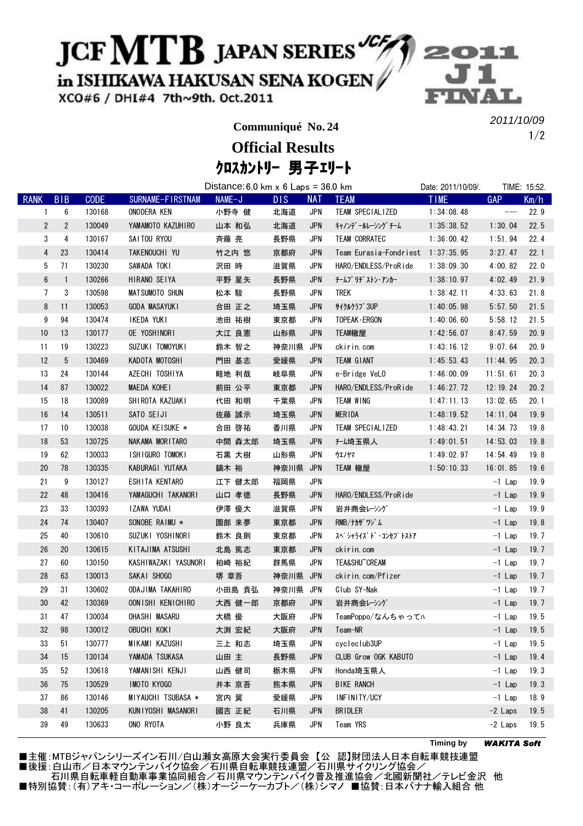## JCF MTB JAPAN SERIES

in ISHIKAWA HAKUSAN SENA KOGEN

XCO#6 / DHI#4 7th~9th. Oct.2011

**Communiqué No. 24**

1/2 2011/10/09

クロスカントリー 男子エリート **Official Results**

|                 |                | Distance: 6.0 km $x$ 6 Laps = 36.0 km |                       |        |      |            |                                   | Date: 2011/10/09/. |            | TIME: 15:52. |
|-----------------|----------------|---------------------------------------|-----------------------|--------|------|------------|-----------------------------------|--------------------|------------|--------------|
| <b>RANK</b>     | <b>BIB</b>     | <b>CODE</b>                           | SURNAME-FIRSTNAM      | NAME-J | DIS. | <b>NAT</b> | <b>TEAM</b>                       | <b>TIME</b>        | <b>GAP</b> | Km/h         |
| 1               | 6              | 130168                                | ONODERA KEN           | 小野寺 健  | 北海道  | <b>JPN</b> | TEAM SPECIALIZED                  | 1:34:08.48         | $---$      | 22.9         |
| $\overline{2}$  | $\overline{2}$ | 130049                                | YAMAMOTO KAZUHIRO     | 山本 和弘  | 北海道  | <b>JPN</b> | キャノンデ゛ールレーシング゛チーム                 | 1:35:38.52         | 1:30.04    | 22.5         |
| 3               | 4              | 130167                                | SAITOU RYOU           | 斉藤 亮   | 長野県  | <b>JPN</b> | <b>TEAM CORRATEC</b>              | 1:36:00.42         | 1:51.94    | 22.4         |
| $\overline{4}$  | 23             | 130414                                | TAKENOUCHI YU         | 竹之内 悠  | 京都府  | <b>JPN</b> | Team Eurasia-Fondriest 1:37:35.95 |                    | 3:27.47    | 22.1         |
| 5               | 71             | 130230                                | SAWADA TOKI           | 沢田 時   | 滋賀県  | <b>JPN</b> | HARO/ENDLESS/ProRide              | 1:38:09.30         | 4:00.82    | 22.0         |
| $6\phantom{.0}$ | $\mathbf{1}$   | 130266                                | HIRANO SEIYA          | 平野 星矢  | 長野県  | <b>JPN</b> | チームブ リヂ ストン・アンカー                  | 1:38:10.97         | 4:02.49    | 21.9         |
| $7^{\circ}$     | 3              | 130598                                | <b>MATSUMOTO SHUN</b> | 松本 駿   | 長野県  | <b>JPN</b> | <b>TREK</b>                       | 1:38:42.11         | 4:33.63    | 21.8         |
| 8               | 11             | 130053                                | <b>GODA MASAYUKI</b>  | 合田 正之  | 埼玉県  | <b>JPN</b> | サイクルクラブ 3UP                       | 1:40:05.98         | 5:57.50    | 21.5         |
| 9               | 94             | 130474                                | IKEDA YUKI            | 池田 祐樹  | 東京都  | <b>JPN</b> | TOPEAK · ERGON                    | 1:40:06.60         | 5:58.12    | 21.5         |
| 10              | 13             | 130177                                | OE YOSHINORI          | 大江 良憲  | 山形県  | <b>JPN</b> | TEAM轍屋                            | 1:42:56.07         | 8:47.59    | 20.9         |
| 11              | 19             | 130223                                | SUZUKI TOMOYUKI       | 鈴木 智之  | 神奈川県 | JPN        | ckirin.com                        | 1:43:16.12         | 9:07.64    | 20.9         |
| 12              | 5              | 130469                                | KADOTA MOTOSHI        | 門田 基志  | 愛媛県  | <b>JPN</b> | TEAM GIANT                        | 1:45:53.43         | 11:44.95   | 20.3         |
| 13              | 24             | 130144                                | AZECHI TOSHIYA        | 畦地 利哉  | 岐阜県  | <b>JPN</b> | e-Bridge VeLO                     | 1:46:00.09         | 11:51.61   | 20.3         |
| 14              | 87             | 130022                                | MAEDA KOHEI           | 前田 公平  | 東京都  | <b>JPN</b> | HARO/ENDLESS/ProRide              | 1:46:27.72         | 12:19.24   | 20.2         |
| 15              | 18             | 130089                                | SHIROTA KAZUAKI       | 代田 和明  | 千葉県  | <b>JPN</b> | TEAM WING                         | 1:47:11.13         | 13:02.65   | 20.1         |
| 16              | 14             | 130511                                | SATO SEIJI            | 佐藤 誠示  | 埼玉県  | <b>JPN</b> | <b>MERIDA</b>                     | 1:48:19.52         | 14:11.04   | 19.9         |
| 17              | 10             | 130038                                | GOUDA KEISUKE *       | 合田 啓祐  | 香川県  | <b>JPN</b> | TEAM SPECIALIZED                  | 1:48:43.21         | 14:34.73   | 19.8         |
| 18              | 53             | 130725                                | NAKAMA MORITARO       | 中間 森太郎 | 埼玉県  | <b>JPN</b> | f-ム埼玉県人                           | 1:49:01.51         | 14:53.03   | 19.8         |
| 19              | 62             | 130033                                | ISHIGURO TOMOKI       | 石黒 大樹  | 山形県  | <b>JPN</b> | ウェノヤマ                             | 1:49:02.97         | 14:54.49   | 19.8         |
| 20              | 78             | 130335                                | KABURAGI YUTAKA       | 鏑木 裕   | 神奈川県 | <b>JPN</b> | TEAM 轍屋                           | 1:50:10.33         | 16:01.85   | 19.6         |
| 21              | 9              | 130127                                | ESHITA KENTARO        | 江下 健太郎 | 福岡県  | <b>JPN</b> |                                   |                    | $-1$ Lap   | 19.9         |
| 22              | 48             | 130416                                | YAMAGUCHI TAKANORI    | 山口 孝徳  | 長野県  | <b>JPN</b> | HARO/ENDLESS/ProRide              |                    | $-1$ Lap   | 19.9         |
| 23              | 33             | 130393                                | IZAWA YUDAI           | 伊澤 優大  | 滋賀県  | <b>JPN</b> | 岩井商会レ・シゾ                          |                    | $-1$ Lap   | 19.9         |
| 24              | 74             | 130407                                | SONOBE RAIMU *        | 園部 来夢  | 東京都  | <b>JPN</b> | RMB/ナカザワジム                        |                    | $-1$ Lap   | 19.8         |
| 25              | 40             | 130610                                | SUZUKI YOSHINORI      | 鈴木 良則  | 東京都  | <b>JPN</b> | スペ シャライズ ト゛・コンセフ゜トストア             |                    | $-1$ Lap   | 19.7         |
| 26              | $20\,$         | 130615                                | KITAJIMA ATSUSHI      | 北島 篤志  | 東京都  | <b>JPN</b> | ckirin.com                        |                    | $-1$ Lap   | 19.7         |
| 27              | 60             | 130150                                | KASHIWAZAKI YASUNORI  | 柏崎 裕紀  | 群馬県  | <b>JPN</b> | TEA&SHU~CREAM                     |                    | $-1$ Lap   | 19.7         |
| 28              | 63             | 130013                                | SAKAI SHOGO           | 堺 章吾   | 神奈川県 | <b>JPN</b> | ckirin.com/Pfizer                 |                    | $-1$ Lap   | 19.7         |
| 29              | 31             | 130602                                | ODAJIMA TAKAHIRO      | 小田島 貴弘 | 神奈川県 | <b>JPN</b> | Club SY-Nak                       |                    | $-1$ Lap   | 19.7         |
| $30\,$          | 42             | 130369                                | OONISHI KENICHIRO     | 大西 健一郎 | 京都府  | <b>JPN</b> | 岩井商会レーシゾ                          |                    | $-1$ Lap   | 19.7         |
| 31              | 47             | 130034                                | OHASHI MASARU         | 大橋 優   | 大阪府  | <b>JPN</b> | TeamPoppo/なんちゃってハ                 |                    | $-1$ Lap   | 19.5         |
| 32              | 98             | 130012                                | OBUCHI KOKI           | 大渕 宏紀  | 大阪府  | <b>JPN</b> | Team-NR                           |                    | $-1$ Lap   | 19.5         |
| 33              | 51             | 130777                                | MIKAMI KAZUSHI        | 三上 和志  | 埼玉県  | <b>JPN</b> | cycleclub3UP                      |                    | $-1$ Lap   | 19.5         |
| 34              | 15             | 130134                                | YAMADA TSUKASA        | 山田 主   | 長野県  | <b>JPN</b> | CLUB Grow OGK KABUTO              |                    | $-1$ Lap   | 19.4         |
| 35              | 52             | 130618                                | YAMANISHI KENJI       | 山西 健司  | 栃木県  | JPN        | Honda埼玉県人                         |                    | $-1$ Lap   | 19.3         |
| 36              | 75             | 130529                                | IMOTO KYOGO           | 井本 京吾  | 熊本県  | <b>JPN</b> | <b>BIKE RANCH</b>                 |                    | $-1$ Lap   | 19.3         |
| 37              | 86             | 130146                                | MIYAUCHI TSUBASA *    | 宮内 翼   | 愛媛県  | <b>JPN</b> | INFINITY/UCY                      |                    | $-1$ Lap   | 18.9         |
| 38              | 41             | 130205                                | KUNIYOSHI MASANORI    | 國吉 正紀  | 石川県  | <b>JPN</b> | <b>BRIDLER</b>                    |                    | $-2$ Laps  | 19.5         |
| 39              | 49             | 130633                                | ONO RYOTA             | 小野 良太  | 兵庫県  | <b>JPN</b> | Team YRS                          |                    | $-2$ Laps  | 19.5         |

■主催:MTBジャパンシリーズイン石川/白山瀬女高原大会実行委員会 【公 認】財団法人日本自転車競技連盟 ■後援:白山市/日本マウンテンバイク協会/石川県自転車競技連盟/石川県サイクリング協会/ 石川県自転車軽自動車事業協同組合/石川県マウンテンバイク普及推進協会/北國新聞社/テレビ金沢 他 ■特別協賛:(有)アキ・コーポレーション/(株)オージーケーカブト/(株)シマノ ■協賛:日本バナナ輸入組合 他

**Timing by** WAKITA Soft